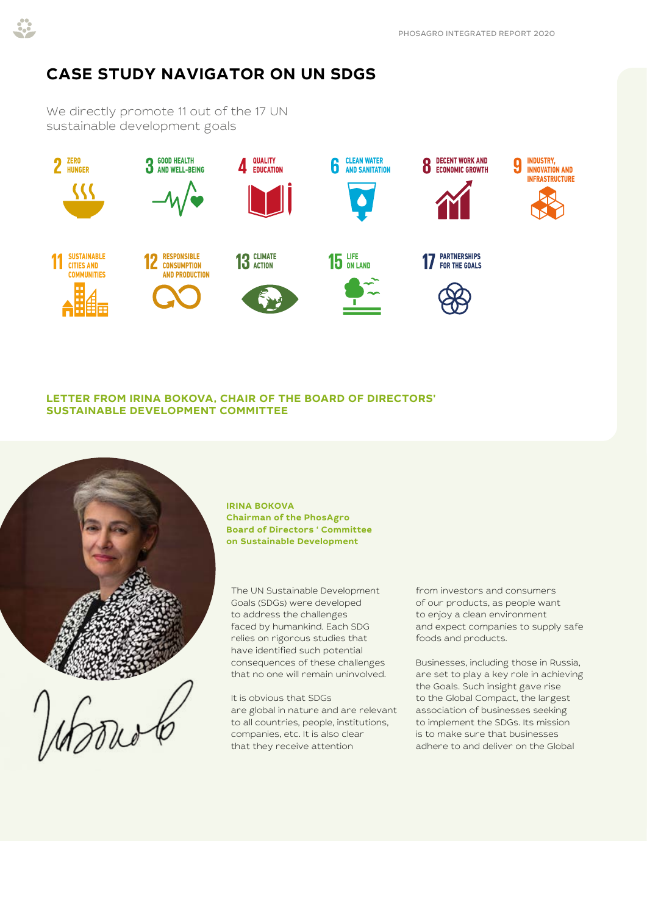## **CASE STUDY NAVIGATOR ON UN SDGS**

We directly promote 11 out of the 17 UN sustainable development goals



## **LETTER FROM IRINA BOKOVA, CHAIR OF THE BOARD OF DIRECTORS' SUSTAINABLE DEVELOPMENT COMMITTEE**



**IRINA BOKOVA Chairman of the PhosAgro Board of Directors ' Committee on Sustainable Development**

The UN Sustainable Development Goals (SDGs) were developed to address the challenges faced by humankind. Each SDG relies on rigorous studies that have identified such potential consequences of these challenges that no one will remain uninvolved.

It is obvious that SDGs are global in nature and are relevant to all countries, people, institutions, companies, etc. It is also clear that they receive attention

from investors and consumers of our products, as people want to enjoy a clean environment and expect companies to supply safe foods and products.

Businesses, including those in Russia, are set to play a key role in achieving the Goals. Such insight gave rise to the Global Compact, the largest association of businesses seeking to implement the SDGs. Its mission is to make sure that businesses adhere to and deliver on the Global

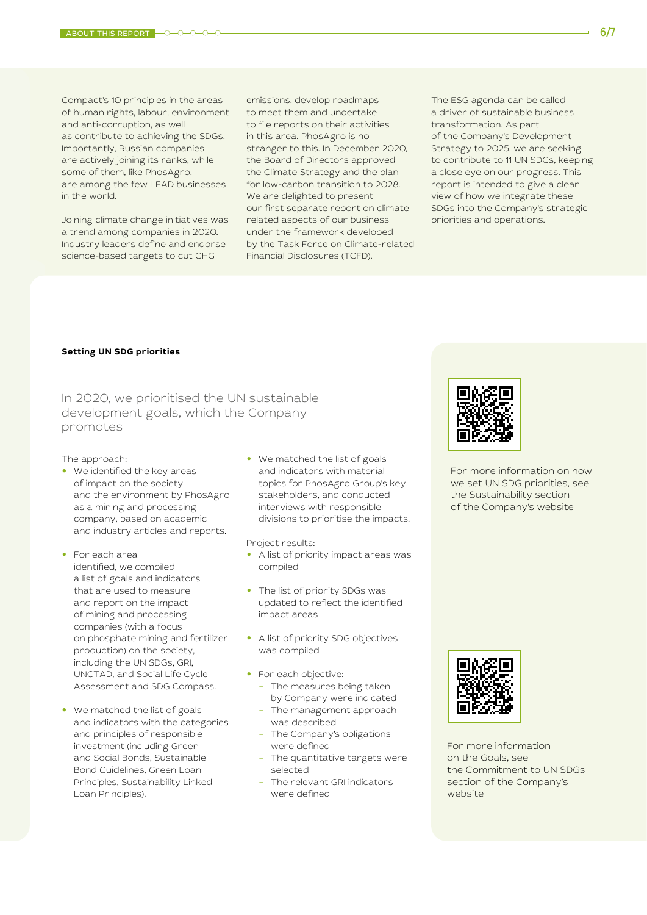Compact's 10 principles in the areas of human rights, labour, environment and anti-corruption, as well as contribute to achieving the SDGs. Importantly, Russian companies are actively joining its ranks, while some of them, like PhosAgro, are among the few LEAD businesses in the world.

Joining climate change initiatives was a trend among companies in 2020. Industry leaders define and endorse science-based targets to cut GHG

emissions, develop roadmaps to meet them and undertake to file reports on their activities in this area. PhosAgro is no stranger to this. In December 2020, the Board of Directors approved the Climate Strategy and the plan for low-carbon transition to 2028. We are delighted to present our first separate report on climate related aspects of our business under the framework developed by the Task Force on Climate-related Financial Disclosures (TCFD).

The ESG agenda can be called a driver of sustainable business transformation. As part of the Company's Development Strategy to 2025, we are seeking to contribute to 11 UN SDGs, keeping a close eye on our progress. This report is intended to give a clear view of how we integrate these SDGs into the Company's strategic priorities and operations.

## **Setting UN SDG priorities**

In 2020, we prioritised the UN sustainable development goals, which the Company promotes

The approach:

- **•** We identified the key areas of impact on the society and the environment by PhosAgro as a mining and processing company, based on academic and industry articles and reports.
- **•** For each area identified, we compiled a list of goals and indicators that are used to measure and report on the impact of mining and processing companies (with a focus on phosphate mining and fertilizer production) on the society, including the UN SDGs, GRI, UNCTAD, and Social Life Cycle Assessment and SDG Compass.
- **•** We matched the list of goals and indicators with the categories and principles of responsible investment (including Green and Social Bonds, Sustainable Bond Guidelines, Green Loan Principles, Sustainability Linked Loan Principles).

**•** We matched the list of goals and indicators with material topics for PhosAgro Group's key stakeholders, and conducted interviews with responsible divisions to prioritise the impacts.

Project results:

- **•** A list of priority impact areas was compiled
- **•** The list of priority SDGs was updated to reflect the identified impact areas
- **•** A list of priority SDG objectives was compiled
- **•** For each objective:
	- The measures being taken by Company were indicated
	- The management approach was described
	- The Company's obligations were defined
	- The quantitative targets were selected
	- The relevant GRI indicators were defined



[For more information on how](https://www.phosagro.com/sustainability/)  we set UN SDG priorities, see the Sustainability section of the Company's website



For more information on the Goals, see [the Commitment to UN SDGs](https://www.phosagro.com/sustainability/)  section of the Company's website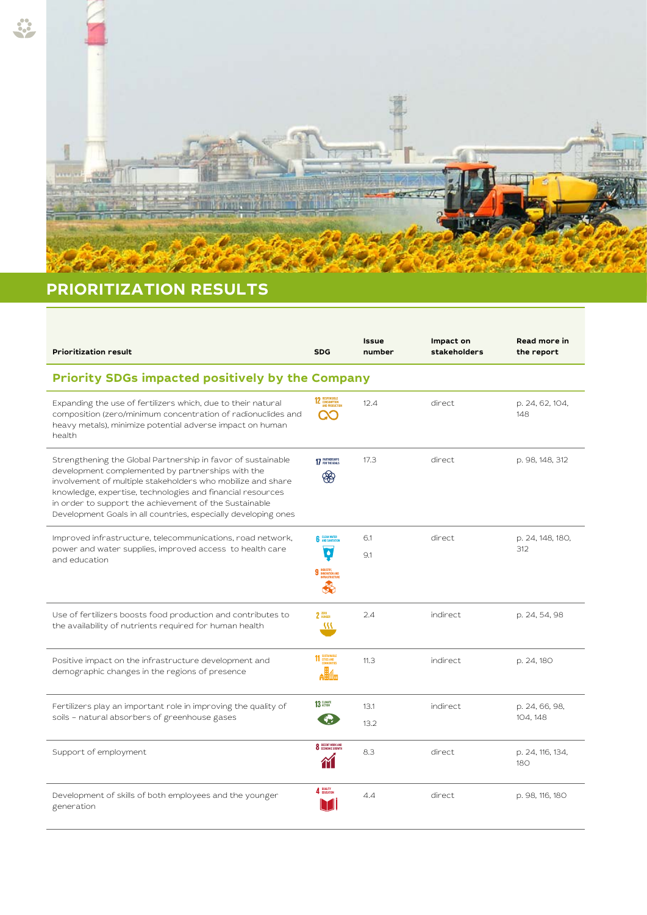

## **PRIORITIZATION RESULTS**

| <b>Prioritization result</b>                                                                                                                                                                                                                                                                                                                                               | <b>SDG</b>                                   | Issue<br>number | Impact on<br>stakeholders | Read more in<br>the report |  |  |  |
|----------------------------------------------------------------------------------------------------------------------------------------------------------------------------------------------------------------------------------------------------------------------------------------------------------------------------------------------------------------------------|----------------------------------------------|-----------------|---------------------------|----------------------------|--|--|--|
| <b>Priority SDGs impacted positively by the Company</b>                                                                                                                                                                                                                                                                                                                    |                                              |                 |                           |                            |  |  |  |
| Expanding the use of fertilizers which, due to their natural<br>composition (zero/minimum concentration of radionuclides and<br>heavy metals), minimize potential adverse impact on human<br>health                                                                                                                                                                        | 12 RESPONSIBLE                               | 12.4            | direct                    | p. 24, 62, 104,<br>148     |  |  |  |
| Strengthening the Global Partnership in favor of sustainable<br>development complemented by partnerships with the<br>involvement of multiple stakeholders who mobilize and share<br>knowledge, expertise, technologies and financial resources<br>in order to support the achievement of the Sustainable<br>Development Goals in all countries, especially developing ones | 17 PARTNERSHIPS<br>അ                         | 17.3            | direct                    | p. 98, 148, 312            |  |  |  |
| Improved infrastructure, telecommunications, road network,<br>power and water supplies, improved access to health care<br>and education                                                                                                                                                                                                                                    | <b>6</b> CLEAN WATER<br>$\overline{\bullet}$ | 6.1<br>9.1      | direct                    | p. 24, 148, 180,<br>312    |  |  |  |
| Use of fertilizers boosts food production and contributes to<br>the availability of nutrients required for human health                                                                                                                                                                                                                                                    | $2 \frac{2000}{N10000}$<br>38                | 2.4             | indirect                  | p. 24, 54, 98              |  |  |  |
| Positive impact on the infrastructure development and<br>demographic changes in the regions of presence                                                                                                                                                                                                                                                                    | 11 SUSTAINABLE                               | 11.3            | indirect                  | p. 24, 180                 |  |  |  |
| Fertilizers play an important role in improving the quality of<br>soils - natural absorbers of greenhouse gases                                                                                                                                                                                                                                                            | 13 GLIMATE                                   | 13.1<br>13.2    | indirect                  | p. 24, 66, 98,<br>104, 148 |  |  |  |
| Support of employment                                                                                                                                                                                                                                                                                                                                                      | <b>8</b> DECENT WORK AND                     | 8.3             | direct                    | p. 24, 116, 134,<br>180    |  |  |  |
| Development of skills of both employees and the younger<br>generation                                                                                                                                                                                                                                                                                                      | 4 BUALITY                                    | 4.4             | direct                    | p. 98, 116, 180            |  |  |  |